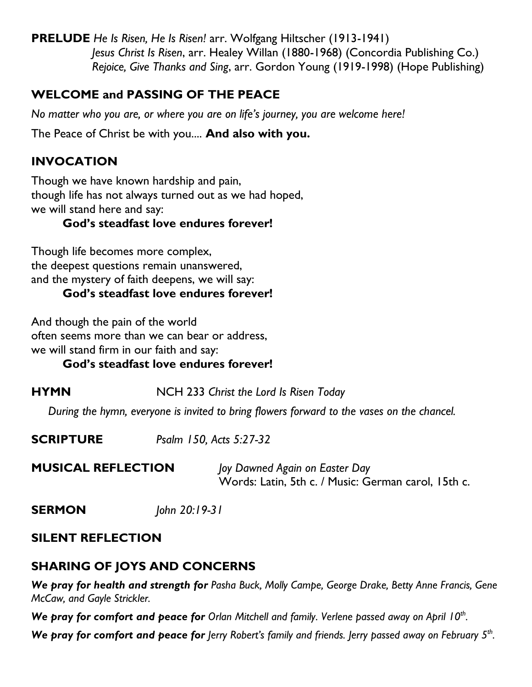**PRELUDE** *He Is Risen, He Is Risen!* arr. Wolfgang Hiltscher (1913-1941) *Jesus Christ Is Risen*, arr. Healey Willan (1880-1968) (Concordia Publishing Co.) *Rejoice, Give Thanks and Sing*, arr. Gordon Young (1919-1998) (Hope Publishing)

# **WELCOME and PASSING OF THE PEACE**

*No matter who you are, or where you are on life's journey, you are welcome here!*

The Peace of Christ be with you.... **And also with you.**

# **INVOCATION**

Though we have known hardship and pain, though life has not always turned out as we had hoped, we will stand here and say:

#### **God's steadfast love endures forever!**

Though life becomes more complex, the deepest questions remain unanswered, and the mystery of faith deepens, we will say:

#### **God's steadfast love endures forever!**

And though the pain of the world often seems more than we can bear or address, we will stand firm in our faith and say:

#### **God's steadfast love endures forever!**

**HYMN** NCH 233 *Christ the Lord Is Risen Today*

 *During the hymn, everyone is invited to bring flowers forward to the vases on the chancel.*

**MUSICAL REFLECTION** *Joy Dawned Again on Easter Day* Words: Latin, 5th c. / Music: German carol, 15th c.

**SERMON** *John 20:19-31*

#### **SILENT REFLECTION**

# **SHARING OF JOYS AND CONCERNS**

*We pray for health and strength for Pasha Buck, Molly Campe, George Drake, Betty Anne Francis, Gene McCaw, and Gayle Strickler.*

*We pray for comfort and peace for Orlan Mitchell and family. Verlene passed away on April 10th .*

*We pray for comfort and peace for lerry Robert's family and friends. Jerry passed away on February 5<sup>th</sup>. .*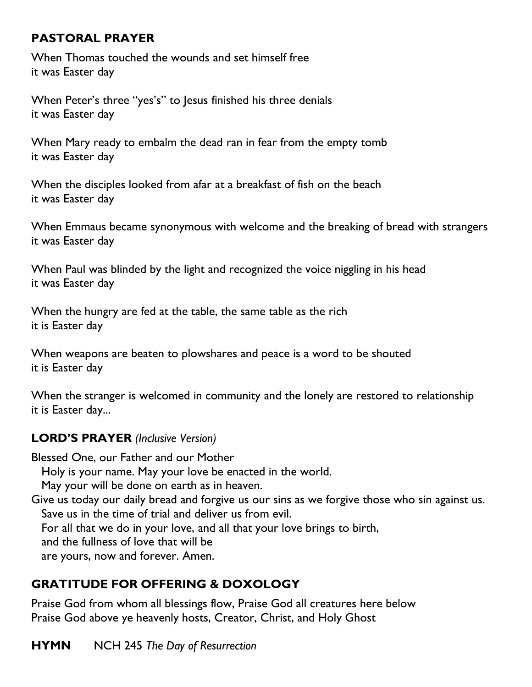# **PASTORAL PRAYER**

When Thomas touched the wounds and set himself free it was Easter day

When Peter's three "yes's" to Jesus finished his three denials it was Easter day

When Mary ready to embalm the dead ran in fear from the empty tomb it was Easter day

When the disciples looked from afar at a breakfast of fish on the beach it was Easter day

When Emmaus became synonymous with welcome and the breaking of bread with strangers it was Easter day

When Paul was blinded by the light and recognized the voice niggling in his head it was Easter day

When the hungry are fed at the table, the same table as the rich it is Easter day

When weapons are beaten to plowshares and peace is a word to be shouted it is Easter day

When the stranger is welcomed in community and the lonely are restored to relationship it is Easter day...

# **LORD'S PRAYER** *(Inclusive Version)*

Blessed One, our Father and our Mother

Holy is your name. May your love be enacted in the world.

May your will be done on earth as in heaven.

Give us today our daily bread and forgive us our sins as we forgive those who sin against us. Save us in the time of trial and deliver us from evil.

For all that we do in your love, and all that your love brings to birth,

and the fullness of love that will be

are yours, now and forever. Amen.

# **GRATITUDE FOR OFFERING & DOXOLOGY**

Praise God from whom all blessings flow, Praise God all creatures here below Praise God above ye heavenly hosts, Creator, Christ, and Holy Ghost

**HYMN** NCH 245 *The Day of Resurrection*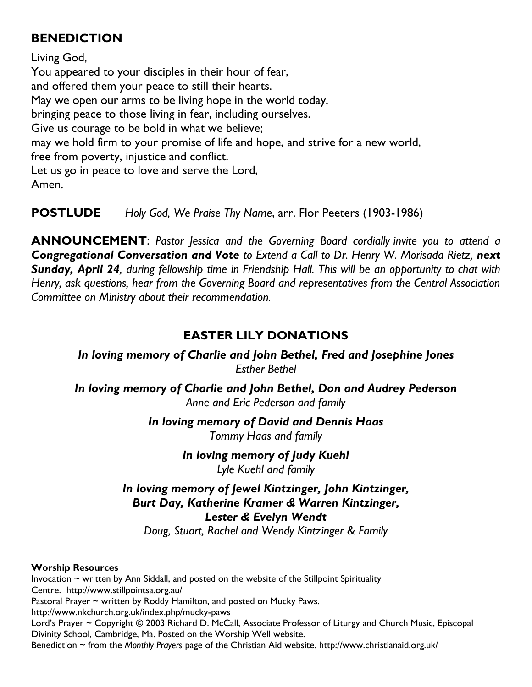#### **BENEDICTION**

Living God, You appeared to your disciples in their hour of fear, and offered them your peace to still their hearts. May we open our arms to be living hope in the world today, bringing peace to those living in fear, including ourselves. Give us courage to be bold in what we believe; may we hold firm to your promise of life and hope, and strive for a new world, free from poverty, injustice and conflict. Let us go in peace to love and serve the Lord, Amen.

**POSTLUDE** *Holy God, We Praise Thy Name*, arr. Flor Peeters (1903-1986)

**ANNOUNCEMENT**: *Pastor Jessica and the Governing Board cordially invite you to attend a Congregational Conversation and Vote to Extend a Call to Dr. Henry W. Morisada Rietz, next Sunday, April 24, during fellowship time in Friendship Hall. This will be an opportunity to chat with Henry, ask questions, hear from the Governing Board and representatives from the Central Association Committee on Ministry about their recommendation.*

# **EASTER LILY DONATIONS**

*In loving memory of Charlie and John Bethel, Fred and Josephine Jones Esther Bethel*

*In loving memory of Charlie and John Bethel, Don and Audrey Pederson Anne and Eric Pederson and family*

> *In loving memory of David and Dennis Haas Tommy Haas and family*

> > *In loving memory of Judy Kuehl Lyle Kuehl and family*

# *In loving memory of Jewel Kintzinger, John Kintzinger, Burt Day, Katherine Kramer & Warren Kintzinger, Lester & Evelyn Wendt*

*Doug, Stuart, Rachel and Wendy Kintzinger & Family*

#### **Worship Resources**

Invocation  $\sim$  written by Ann Siddall, and posted on the website of the Stillpoint Spirituality Centre. <http://www.stillpointsa.org.au/> Pastoral Prayer ~ written by Roddy Hamilton, and posted on Mucky Paws. <http://www.nkchurch.org.uk/index.php/mucky-paws> Lord's Prayer ~ Copyright © 2003 Richard D. McCall, Associate Professor of Liturgy and Church Music, Episcopal Divinity School, Cambridge, Ma. Posted on the [Worship Well](http://www.theworshipwell.org/pdf/WOR_McCall3.pdf) website. Benediction ~ from the *Monthly Prayers* page of the Christian Aid website.<http://www.christianaid.org.uk/>